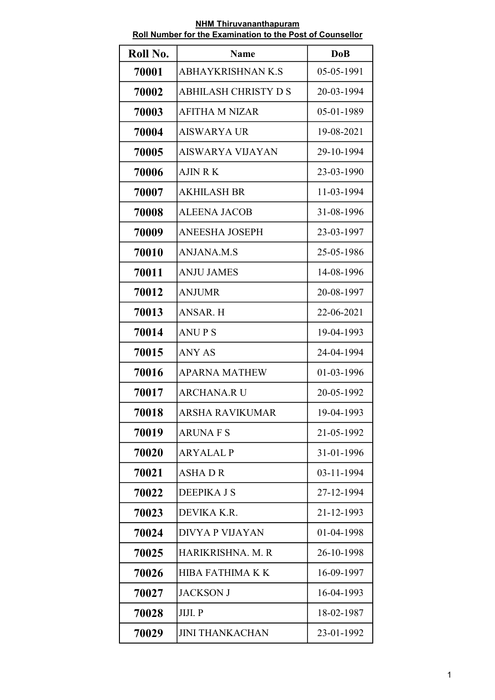| Roll No. | <b>Name</b>                 | <b>DoB</b> |
|----------|-----------------------------|------------|
| 70001    | <b>ABHAYKRISHNAN K.S</b>    | 05-05-1991 |
| 70002    | <b>ABHILASH CHRISTY D S</b> | 20-03-1994 |
| 70003    | <b>AFITHA M NIZAR</b>       | 05-01-1989 |
| 70004    | AISWARYA UR                 | 19-08-2021 |
| 70005    | AISWARYA VIJAYAN            | 29-10-1994 |
| 70006    | AJIN R K                    | 23-03-1990 |
| 70007    | <b>AKHILASH BR</b>          | 11-03-1994 |
| 70008    | <b>ALEENA JACOB</b>         | 31-08-1996 |
| 70009    | <b>ANEESHA JOSEPH</b>       | 23-03-1997 |
| 70010    | <b>ANJANA.M.S</b>           | 25-05-1986 |
| 70011    | <b>ANJU JAMES</b>           | 14-08-1996 |
| 70012    | <b>ANJUMR</b>               | 20-08-1997 |
| 70013    | <b>ANSAR. H</b>             | 22-06-2021 |
| 70014    | <b>ANUPS</b>                | 19-04-1993 |
| 70015    | <b>ANY AS</b>               | 24-04-1994 |
| 70016    | <b>APARNA MATHEW</b>        | 01-03-1996 |
| 70017    | <b>ARCHANA.R U</b>          | 20-05-1992 |
| 70018    | ARSHA RAVIKUMAR             | 19-04-1993 |
| 70019    | <b>ARUNA F S</b>            | 21-05-1992 |
| 70020    | <b>ARYALAL P</b>            | 31-01-1996 |
| 70021    | <b>ASHADR</b>               | 03-11-1994 |
| 70022    | DEEPIKA J S                 | 27-12-1994 |
| 70023    | DEVIKA K.R.                 | 21-12-1993 |
| 70024    | <b>DIVYA P VIJAYAN</b>      | 01-04-1998 |
| 70025    | HARIKRISHNA. M. R           | 26-10-1998 |
| 70026    | <b>HIBA FATHIMA K K</b>     | 16-09-1997 |
| 70027    | <b>JACKSON J</b>            | 16-04-1993 |
| 70028    | JIJI. P                     | 18-02-1987 |
| 70029    | <b>JINI THANKACHAN</b>      | 23-01-1992 |

NHM Thiruvananthapuram Roll Number for the Examination to the Post of Counsellor